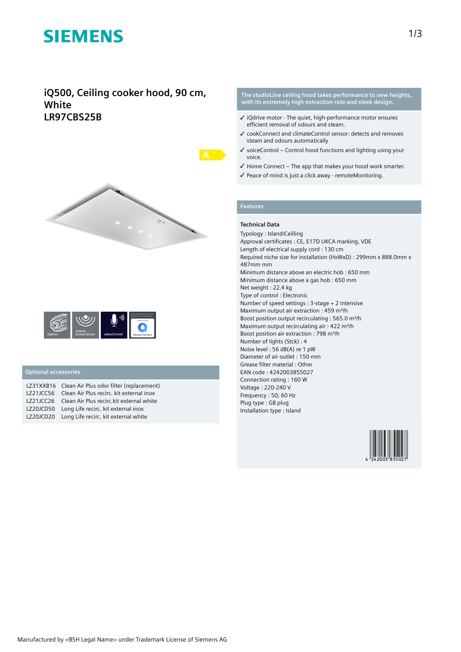## **SIEMENS**

### **iQ500, Ceiling cooker hood, 90 cm, White LR97CBS25B**





#### **Optional accessories**

| LZ31XXB16 Clean Air Plus odor filter (replacement) |
|----------------------------------------------------|
| LZ21JCC56 Clean Air Plus recirc. kit external inox |
| LZ21JCC26 Clean Air Plus recirc.kit external white |
| LZ20JCD50 Long Life recirc. kit external inox      |
| LZ20JCD20 Long Life recirc. kit external white     |

#### **The studioLine ceiling hood takes performance to new heights, with its extremely high extraction rate and sleek design.**

- ✓ iQdrive motor The quiet, high-performance motor ensures efficient removal of odours and steam.
- ✓ cookConnect and climateControl sensor: detects and removes steam and odours automatically
- $\checkmark$  voiceControl Control hood functions and lighting using your voice.
- $\checkmark$  Home Connect The app that makes your hood work smarter.
- ✓ Peace of mind is just a click away remoteMonitoring.

#### **Features**

#### **Technical Data**

Typology : Island/Ceilling Approval certificates : CE, E17D UKCA marking, VDE Length of electrical supply cord : 130 cm Required niche size for installation (HxWxD) : 299mm x 888.0mm x 487mm mm Minimum distance above an electric hob : 650 mm Minimum distance above a gas hob : 650 mm Net weight : 22.4 kg Type of control : Electronic Number of speed settings : 3-stage + 2 intensive Maximum output air extraction : 459 m<sup>3</sup>/h Boost position output recirculating : 565.0 m<sup>3</sup>/h Maximum output recirculating air : 422 m<sup>3</sup>/h Boost position air extraction : 798 m<sup>3</sup>/h Number of lights (Stck) : 4 Noise level : 56 dB(A) re 1 pW Diameter of air outlet : 150 mm Grease filter material : Other EAN code : 4242003855027 Connection rating : 160 W Voltage : 220-240 V Frequency : 50; 60 Hz Plug type : GB plug Installation type : Island

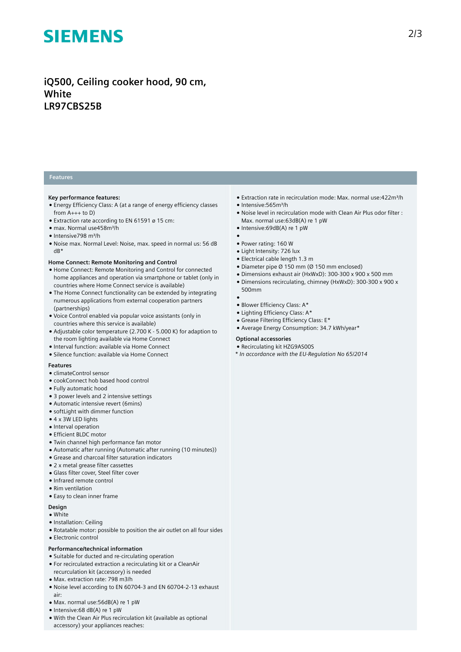# **SIEMENS**

### **iQ500, Ceiling cooker hood, 90 cm, White LR97CBS25B**

#### **Features**

#### **Key performance features:**

- Energy Efficiency Class: A (at a range of energy efficiency classes from  $A_{+++}$  to D)
- Extraction rate according to EN 61591 ø 15 cm:
- max. Normal use458m³/h
- Intensive798 m³/h
- Noise max. Normal Level: Noise, max. speed in normal us: 56 dB dB\*

#### **Home Connect: Remote Monitoring and Control**

- Home Connect: Remote Monitoring and Control for connected home appliances and operation via smartphone or tablet (only in countries where Home Connect service is available)
- The Home Connect functionality can be extended by integrating numerous applications from external cooperation partners (partnerships)
- Voice Control enabled via popular voice assistants (only in countries where this service is available)
- Adjustable color temperature (2.700 K 5.000 K) for adaption to the room lighting available via Home Connect
- Interval function: available via Home Connect
- Silence function: available via Home Connect

#### **Features**

- climateControl sensor
- cookConnect hob based hood control
- Fully automatic hood
- 3 power levels and 2 intensive settings
- Automatic intensive revert (6mins)
- softLight with dimmer function
- 4 x 3W LED lights
- Interval operation
- Efficient BLDC motor
- Twin channel high performance fan motor
- Automatic after running (Automatic after running (10 minutes))
- Grease and charcoal filter saturation indicators
- 2 x metal grease filter cassettes
- Glass filter cover, Steel filter cover
- Infrared remote control
- Rim ventilation
- Easy to clean inner frame

### **Design**

- White
- Installation: Ceiling
- Rotatable motor: possible to position the air outlet on all four sides
- Electronic control

#### **Performance/technical information**

- Suitable for ducted and re-circulating operation
- For recirculated extraction a recirculating kit or a CleanAir
- recurculation kit (accessory) is needed
- Max. extraction rate: 798 m3/h
- Noise level according to EN 60704-3 and EN 60704-2-13 exhaust air:
- Max. normal use:56dB(A) re 1 pW
- Intensive:68 dB(A) re 1 pW
- With the Clean Air Plus recirculation kit (available as optional accessory) your appliances reaches:
- Extraction rate in recirculation mode: Max. normal use:422m³/h
- Intensive:565m³/h
- Noise level in recirculation mode with Clean Air Plus odor filter : Max. normal use:63dB(A) re 1 pW
- Intensive:69dB(A) re 1 pW
- ● Power rating: 160 W
- Light Intensity: 726 lux
- Electrical cable length 1.3 m
- Diameter pipe Ø 150 mm (Ø 150 mm enclosed)
- Dimensions exhaust air (HxWxD): 300-300 x 900 x 500 mm
- Dimensions recirculating, chimney (HxWxD): 300-300 x 900 x 500mm
- ●
- Blower Efficiency Class: A\*
- Lighting Efficiency Class: A\* ● Grease Filtering Efficiency Class: E\*
- 
- Average Energy Consumption: 34.7 kWh/year\*

#### **Optional accessories**

- Recirculating kit HZG9AS00S
- *\* In accordance with the EU-Regulation No 65/2014*
- 
-